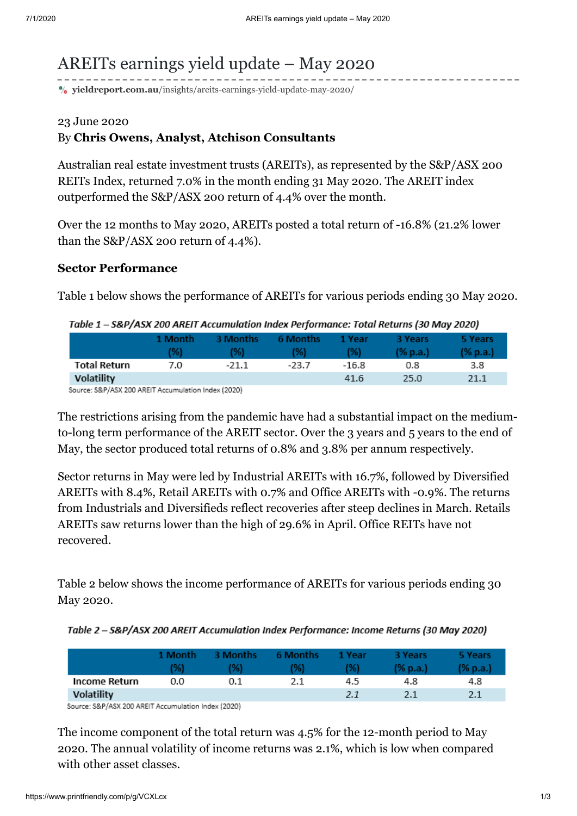## AREITs earnings yield update – May 2020

**yieldreport.com.au**[/insights/areits-earnings-yield-update-may-2020/](https://www.yieldreport.com.au/insights/areits-earnings-yield-update-may-2020/)

## 23 June 2020 By **Chris Owens, Analyst, Atchison Consultants**

Australian real estate investment trusts (AREITs), as represented by the S&P/ASX 200 REITs Index, returned 7.0% in the month ending 31 May 2020. The AREIT index outperformed the S&P/ASX 200 return of 4.4% over the month.

Over the 12 months to May 2020, AREITs posted a total return of -16.8% (21.2% lower than the S&P/ASX 200 return of 4.4%).

## **Sector Performance**

Table 1 below shows the performance of AREITs for various periods ending 30 May 2020.

Table 1 - S&P/ASX 200 AREIT Accumulation Index Performance: Total Returns (30 May 2020)

|                     | 1 Month | 3 Months | 6 Months | 1 Year  | 3 Years  | 5 Years     |
|---------------------|---------|----------|----------|---------|----------|-------------|
|                     | '%}     | (%)      | (%)      | (%)     | (% p.a.) | $(\%$ p.a.) |
| <b>Total Return</b> | 7.0     | $-21.1$  | $-23.7$  | $-16.8$ | 0.8      | 3.8         |
| Volatility          |         |          |          | 41.6    | 25.0     | 21.1        |

Source: S&P/ASX 200 AREIT Accumulation Index (2020)

The restrictions arising from the pandemic have had a substantial impact on the mediumto-long term performance of the AREIT sector. Over the 3 years and 5 years to the end of May, the sector produced total returns of 0.8% and 3.8% per annum respectively.

Sector returns in May were led by Industrial AREITs with 16.7%, followed by Diversified AREITs with 8.4%, Retail AREITs with 0.7% and Office AREITs with -0.9%. The returns from Industrials and Diversifieds reflect recoveries after steep declines in March. Retails AREITs saw returns lower than the high of 29.6% in April. Office REITs have not recovered.

Table 2 below shows the income performance of AREITs for various periods ending 30 May 2020.

Table 2 - S&P/ASX 200 AREIT Accumulation Index Performance: Income Returns (30 May 2020)

|                      | 1 Month<br>%) | 3 Months<br>$\frac{1}{2}$ | 6 Months<br>%) | 1 Year<br>1%) | 3 Years<br>(% p.a.) | 5 Years<br>(% p.a.) |
|----------------------|---------------|---------------------------|----------------|---------------|---------------------|---------------------|
| <b>Income Return</b> | 0.0           | 0.1                       | 2.1            | 4.5           | 4.8                 | 4.8                 |
| Volatility           |               |                           |                | 2.1           |                     | 2.1                 |

Source: S&P/ASX 200 AREIT Accumulation Index (2020)

The income component of the total return was 4.5% for the 12-month period to May 2020. The annual volatility of income returns was 2.1%, which is low when compared with other asset classes.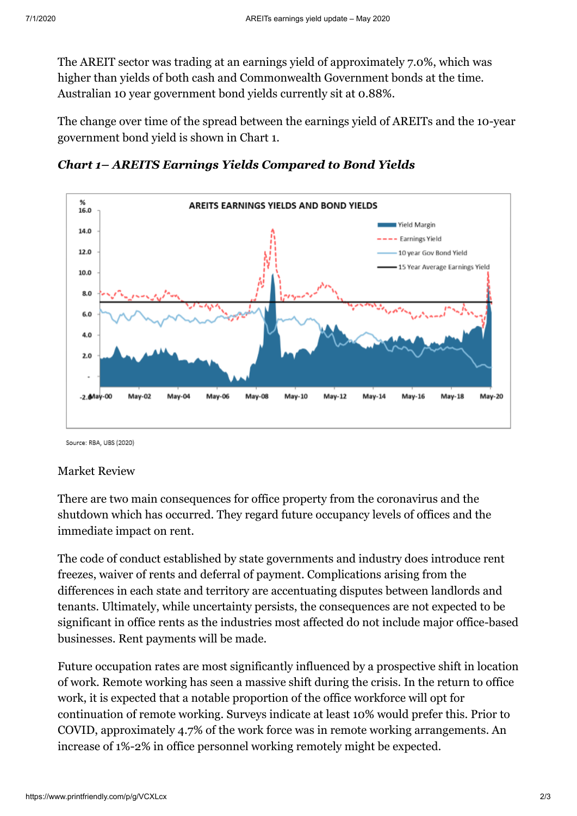The AREIT sector was trading at an earnings yield of approximately 7.0%, which was higher than yields of both cash and Commonwealth Government bonds at the time. Australian 10 year government bond yields currently sit at 0.88%.

The change over time of the spread between the earnings yield of AREITs and the 10-year government bond yield is shown in Chart 1.





Source: RBA, UBS (2020)

## Market Review

There are two main consequences for office property from the coronavirus and the shutdown which has occurred. They regard future occupancy levels of offices and the immediate impact on rent.

The code of conduct established by state governments and industry does introduce rent freezes, waiver of rents and deferral of payment. Complications arising from the differences in each state and territory are accentuating disputes between landlords and tenants. Ultimately, while uncertainty persists, the consequences are not expected to be significant in office rents as the industries most affected do not include major office-based businesses. Rent payments will be made.

Future occupation rates are most significantly influenced by a prospective shift in location of work. Remote working has seen a massive shift during the crisis. In the return to office work, it is expected that a notable proportion of the office workforce will opt for continuation of remote working. Surveys indicate at least 10% would prefer this. Prior to COVID, approximately 4.7% of the work force was in remote working arrangements. An increase of 1%-2% in office personnel working remotely might be expected.